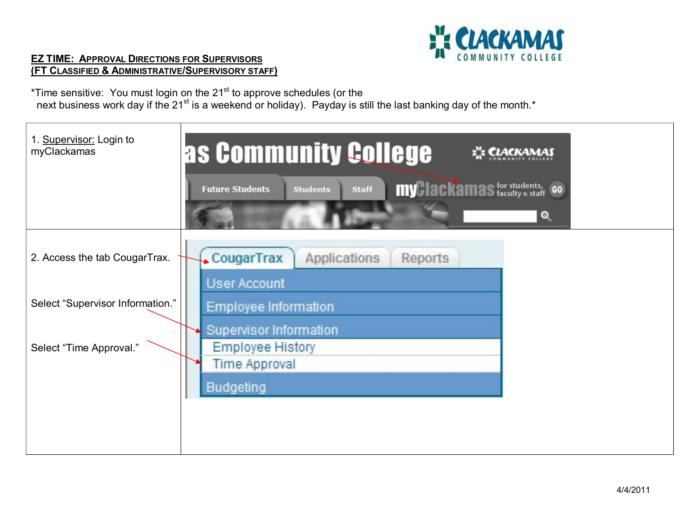

## **EZ TIME: APPROVAL DIRECTIONS FOR SUPERVISORS (FT CLASSIFIED & ADMINISTRATIVE/SUPERVISORY STAFF)**

\*Time sensitive: You must login on the 21<sup>st</sup> to approve schedules (or the next business work day if the 21<sup>st</sup> is a weekend or holiday). Payday is still the last banking day of the month.<sup>\*</sup>

| 1. Supervisor: Login to<br>myClackamas | as Community College<br><b>CLACKAMAS</b>                                                                        |
|----------------------------------------|-----------------------------------------------------------------------------------------------------------------|
|                                        | <b>my lackamas</b> for students, GO<br><b>Staff</b><br><b>Future Students</b><br><b>Students</b><br>$\mathbf Q$ |
| 2. Access the tab CougarTrax.          | <b>CougarTrax</b><br>Applications<br>Reports<br><b>User Account</b>                                             |
| Select "Supervisor Information."       | Employee Information                                                                                            |
| Select "Time Approval."                | Supervisor Information<br>Employee History<br><b>Time Approval</b><br><b>Budgeting</b>                          |
|                                        |                                                                                                                 |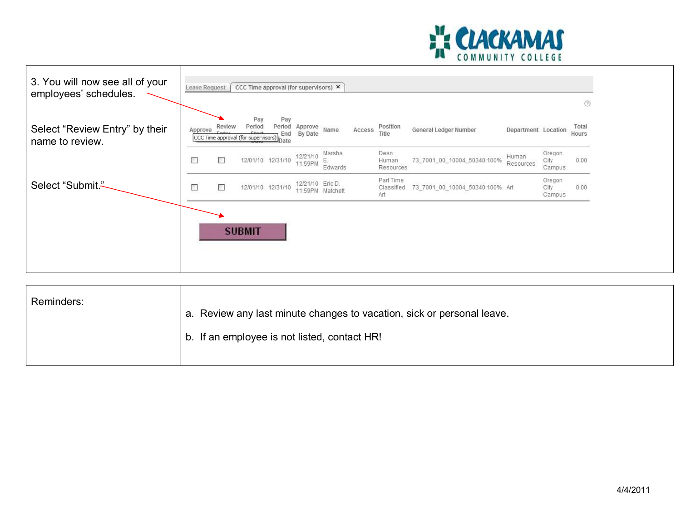

| 3. You will now see all of your<br>employees' schedules. | Leave Request |        | CCC Time approval (for supervisors) X                           |                              |                     |                   |        |                                |                                 |                     |                          | $\odot$        |
|----------------------------------------------------------|---------------|--------|-----------------------------------------------------------------|------------------------------|---------------------|-------------------|--------|--------------------------------|---------------------------------|---------------------|--------------------------|----------------|
| Select "Review Entry" by their<br>name to review.        | Approve       | Review | Pay<br>Period<br>$C$ tar<br>CCC Time approval (for supervisors) | Pay<br>Period<br>End<br>Date | Approve<br>By Date  | Name              | Access | Position<br>Title              | General Ledger Number           | Department Location |                          | Total<br>Hours |
|                                                          | $\Box$        | $\Box$ |                                                                 | 12/01/10 12/31/10            | 12/21/10<br>11:59PM | Marsha<br>Edwards |        | Dean<br>Human<br>Resources     | 73_7001_00_10004_50340:100%     | Human<br>Resources  | Oregon<br>City<br>Campus | 0.00           |
| Select "Submit."                                         | $\Box$        | $\Box$ |                                                                 | 12/01/10 12/31/10            | 12/21/10 Eric D.    | 11:59PM Matchett  |        | Part Time<br>Classified<br>Art | 73_7001_00_10004_50340:100% Art |                     | Oregon<br>City<br>Campus | 0.00           |
|                                                          |               |        | <b>SUBMIT</b>                                                   |                              |                     |                   |        |                                |                                 |                     |                          |                |

| Reminders:<br>a. Review any last minute changes to vacation, sick or personal leave.<br>b. If an employee is not listed, contact HR! |  |
|--------------------------------------------------------------------------------------------------------------------------------------|--|
|--------------------------------------------------------------------------------------------------------------------------------------|--|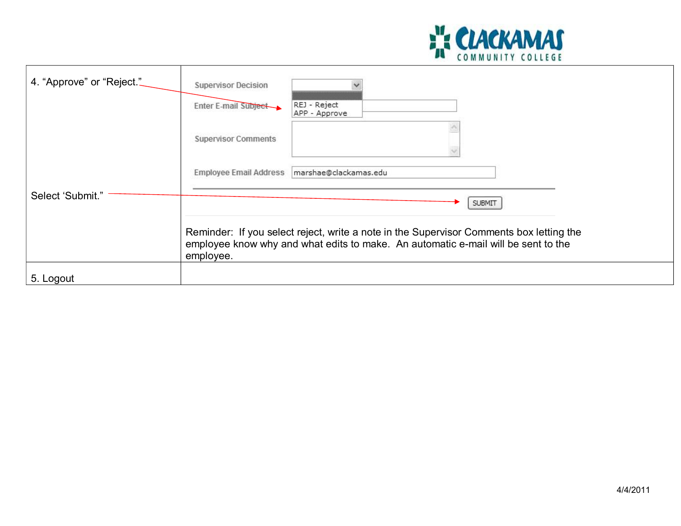

| 4. "Approve" or "Reject." | <b>Supervisor Decision</b>                                                                                                                                                                |                               |  |  |  |  |  |
|---------------------------|-------------------------------------------------------------------------------------------------------------------------------------------------------------------------------------------|-------------------------------|--|--|--|--|--|
|                           | Enter E-mail Subject                                                                                                                                                                      | REJ - Reject<br>APP - Approve |  |  |  |  |  |
|                           | <b>Supervisor Comments</b>                                                                                                                                                                |                               |  |  |  |  |  |
|                           | Employee Email Address                                                                                                                                                                    | marshae@clackamas.edu         |  |  |  |  |  |
| Select 'Submit."          |                                                                                                                                                                                           | <b>SUBMIT</b>                 |  |  |  |  |  |
|                           | Reminder: If you select reject, write a note in the Supervisor Comments box letting the<br>employee know why and what edits to make. An automatic e-mail will be sent to the<br>employee. |                               |  |  |  |  |  |
| 5. Logout                 |                                                                                                                                                                                           |                               |  |  |  |  |  |